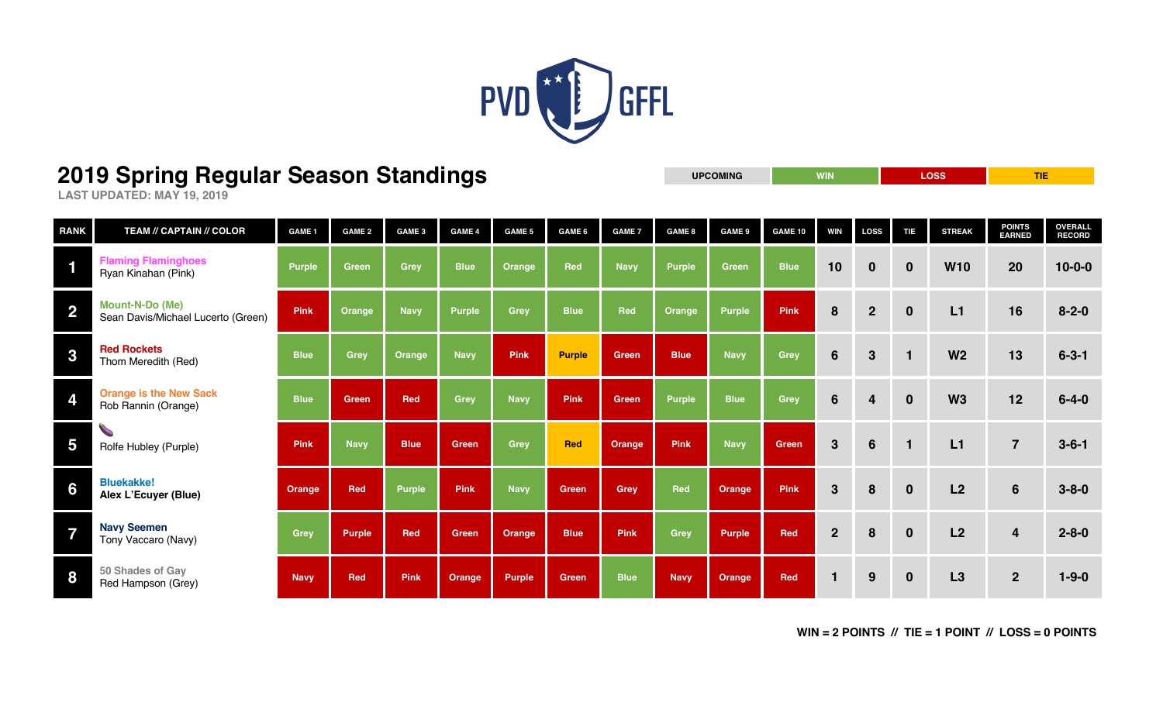

#### **2019 Spring Regular Season Standings**

**UPCOMING WIN LOSS TIE**

**LAST UPDATED: MAY 19, 2019**

| <b>RANK</b>    | <b>TEAM // CAPTAIN // COLOR</b>                              | <b>GAME 1</b> | <b>GAME 2</b> | <b>GAME 3</b> | <b>GAME 4</b> | <b>GAME 5</b> | <b>GAME 6</b> | <b>GAME 7</b> | <b>GAME 8</b> | <b>GAME 9</b> | GAME 10      | <b>WIN</b>     | <b>LOSS</b>             | <b>TIE</b>   | <b>STREAK</b>  | <b>POINTS</b><br><b>EARNED</b> | <b>OVERALL</b><br><b>RECORD</b> |
|----------------|--------------------------------------------------------------|---------------|---------------|---------------|---------------|---------------|---------------|---------------|---------------|---------------|--------------|----------------|-------------------------|--------------|----------------|--------------------------------|---------------------------------|
|                | <b>Flaming Flaminghoes</b><br>Ryan Kinahan (Pink)            | <b>Purple</b> | <b>Green</b>  | Grey          | <b>Blue</b>   | Orange        | <b>Red</b>    | <b>Navy</b>   | <b>Purple</b> | <b>Green</b>  | <b>Blue</b>  | 10             | $\bf{0}$                | $\mathbf{0}$ | <b>W10</b>     | 20                             | $10 - 0 - 0$                    |
| $\overline{2}$ | <b>Mount-N-Do (Me)</b><br>Sean Davis/Michael Lucerto (Green) | <b>Pink</b>   | Orange        | <b>Navy</b>   | <b>Purple</b> | <b>Grey</b>   | <b>Blue</b>   | <b>Red</b>    | Orange        | <b>Purple</b> | <b>Pink</b>  | 8              | $\overline{2}$          | $\mathbf 0$  | L1             | 16                             | $8 - 2 - 0$                     |
| 3              | <b>Red Rockets</b><br>Thom Meredith (Red)                    | <b>Blue</b>   | Grey          | Orange        | <b>Navy</b>   | <b>Pink</b>   | <b>Purple</b> | Green         | <b>Blue</b>   | <b>Navy</b>   | Grey         | $6\phantom{1}$ | $\mathbf{3}$            | $\mathbf{1}$ | W <sub>2</sub> | 13                             | $6 - 3 - 1$                     |
|                | <b>Orange is the New Sack</b><br>Rob Rannin (Orange)         | <b>Blue</b>   | Green         | <b>Red</b>    | Grey          | <b>Navy</b>   | <b>Pink</b>   | Green         | <b>Purple</b> | <b>Blue</b>   | <b>Grev</b>  | $6\phantom{1}$ | $\overline{\mathbf{4}}$ | $\mathbf{0}$ | W3             | 12                             | $6 - 4 - 0$                     |
| 5              | Rolfe Hubley (Purple)                                        | <b>Pink</b>   | <b>Navy</b>   | <b>Blue</b>   | <b>Green</b>  | <b>Grev</b>   | <b>Red</b>    | <b>Orange</b> | <b>Pink</b>   | <b>Navy</b>   | <b>Green</b> | 3              | 6                       |              | L1             | $\overline{7}$                 | $3 - 6 - 1$                     |
| 6              | <b>Bluekakke!</b><br>Alex L'Ecuyer (Blue)                    | Orange        | <b>Red</b>    | <b>Purple</b> | <b>Pink</b>   | <b>Navv</b>   | Green         | Grey          | Red           | Orange        | <b>Pink</b>  | 3 <sup>1</sup> | 8                       | $\mathbf{0}$ | L2             | 6                              | $3 - 8 - 0$                     |
|                | <b>Navy Seemen</b><br>Tony Vaccaro (Navy)                    | <b>Grey</b>   | <b>Purple</b> | <b>Red</b>    | <b>Green</b>  | Orange        | <b>Blue</b>   | <b>Pink</b>   | Grey          | <b>Purple</b> | Red          | 2 <sup>1</sup> | 8                       | $\mathbf{0}$ | L2             | $\overline{\mathbf{4}}$        | $2 - 8 - 0$                     |
| 8              | 50 Shades of Gay<br>Red Hampson (Grey)                       | <b>Navy</b>   | <b>Red</b>    | <b>Pink</b>   | <b>Orange</b> | <b>Purple</b> | <b>Green</b>  | <b>Blue</b>   | <b>Navy</b>   | <b>Orange</b> | Red          | 1              | 9                       | $\mathbf{0}$ | L3             | 2 <sup>1</sup>                 | $1 - 9 - 0$                     |

**WIN = 2 POINTS // TIE = 1 POINT // LOSS = 0 POINTS**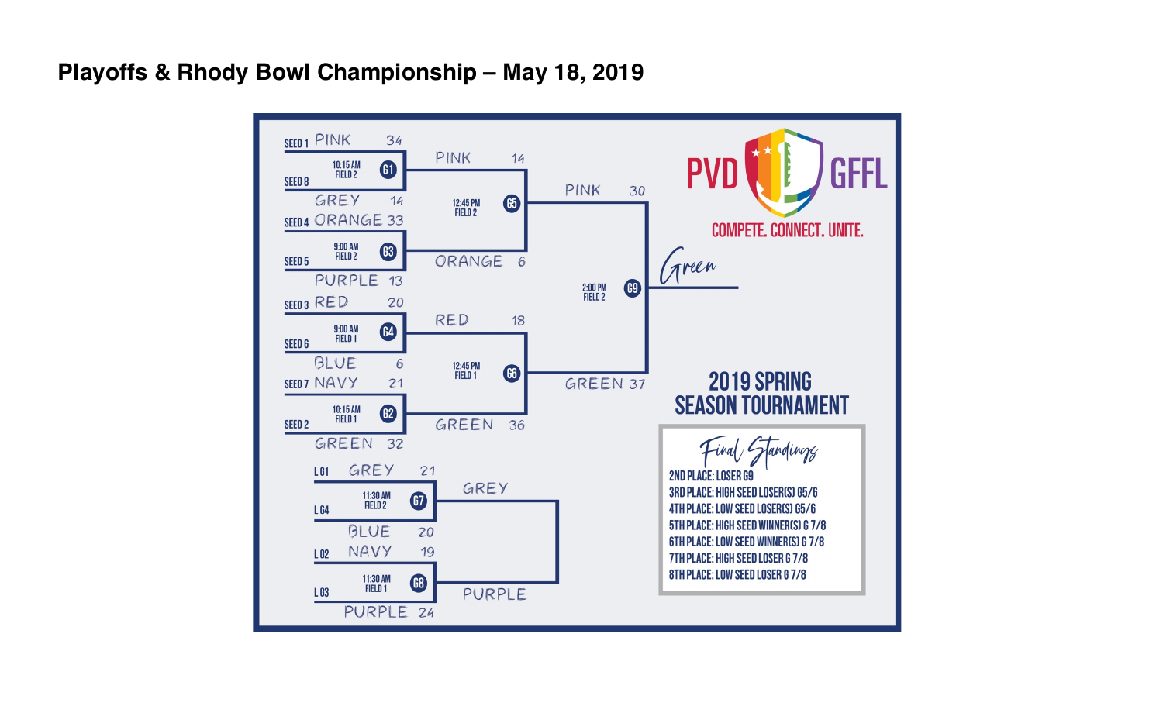#### **Playoffs & Rhody Bowl Championship – May 18, 2019**

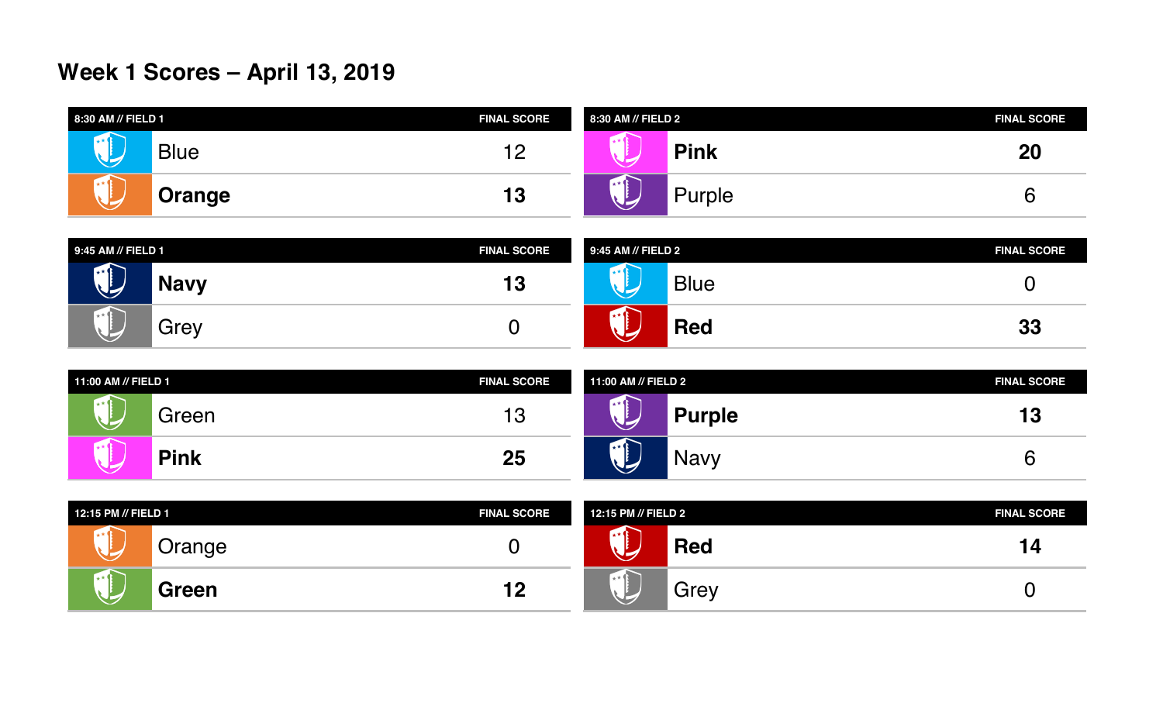## **Week 1 Scores – April 13, 2019**

| 8:30 AM // FIELD 1 |               | <b>FINAL SCORE</b> | 8:30 AM // FIELD 2                         | <b>FINAL SCORE</b> |
|--------------------|---------------|--------------------|--------------------------------------------|--------------------|
| $+ \star$<br>₩     | <b>Blue</b>   | 1 C<br><u>. .</u>  | <b>Pink</b>                                | 20                 |
| $\star$ + 0        | <b>Orange</b> | 40<br>13           | $x \times 1$<br>Purple<br>◡<br>$\check{~}$ |                    |

| 9:45 AM // FIELD 1      |             | <b>FINAL SCORE</b> | 9:45 AM // FIELD 2                                  | <b>FINAL SCORE</b> |
|-------------------------|-------------|--------------------|-----------------------------------------------------|--------------------|
| U                       | <b>Navy</b> | IJ                 | $x \star 1$<br><b>Blue</b><br>₩                     |                    |
| $*$<br>$\sum_{i=1}^{n}$ | Grey        | ∼                  | $\mathbf{H}$<br><b>Red</b><br>$\blacktriangleright$ | 33                 |

| 11:00 AM // FIELD 1        |             | <b>FINAL SCORE</b> | 11:00 AM // FIELD 2                                        | <b>FINAL SCORE</b> |
|----------------------------|-------------|--------------------|------------------------------------------------------------|--------------------|
| $\star \star \bullet$<br>❤ | Green       | 13                 | $x \times 1$<br><b>Purple</b><br>マ                         | 4 C<br>I V         |
|                            | <b>Pink</b> | 25                 | $x \in \mathbb{R}$<br><b>Navy</b><br>$\blacktriangleright$ |                    |

| 12:15 PM // FIELD 1 |          | <b>FINAL SCORE</b>   | 12:15 PM // FIELD 2                   | <b>FINAL SCORE</b> |
|---------------------|----------|----------------------|---------------------------------------|--------------------|
| $*$                 | . Jrange |                      | $x \in \mathbb{R}$<br><b>Red</b><br>ॼ | 14                 |
| $x \star 1$<br>▽    | Green    | 12<br>$\blacksquare$ | $\star$ + $\overline{1}$<br>Grey<br>◡ |                    |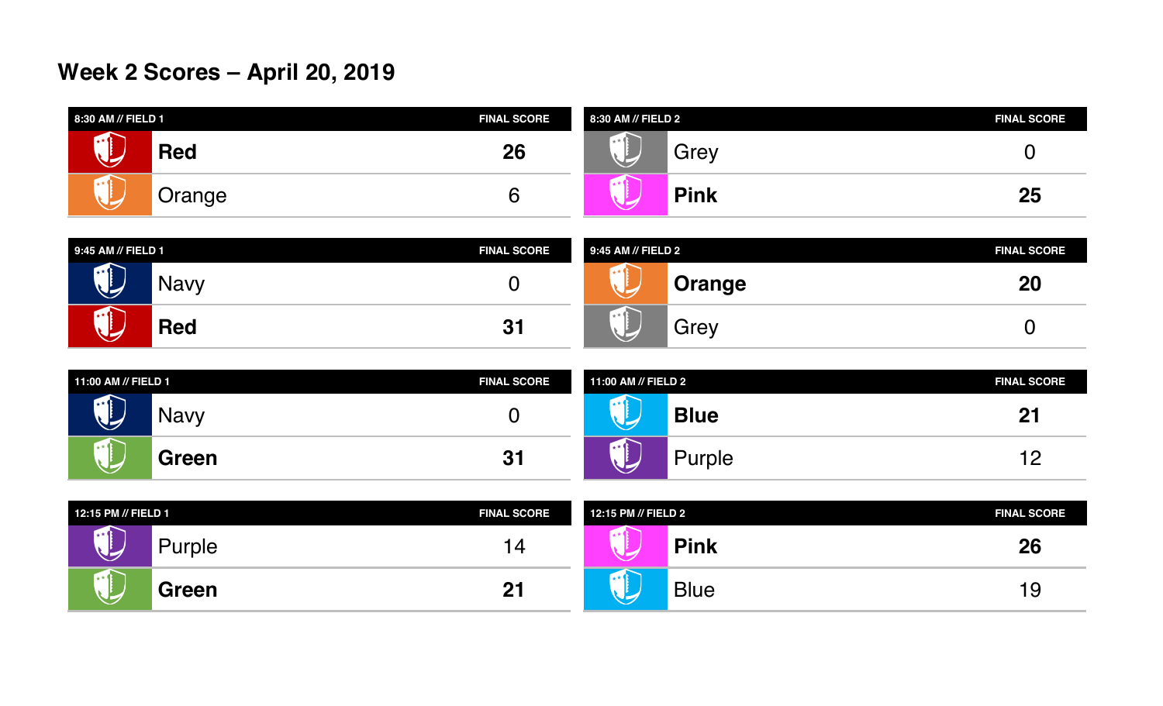## **Week 2 Scores – April 20, 2019**

| 8:30 AM // FIELD 1<br><b>FINAL SCORE</b> |                 | 8:30 AM // FIELD 2 | <b>FINAL SCORE</b> |    |
|------------------------------------------|-----------------|--------------------|--------------------|----|
| <b>AX 1</b><br>❤                         | <b>Red</b>      | 26                 | ★★【<br>Grey        |    |
| l∗∗¶                                     | $\bigcup$ range | ∽<br>ັ             | <b>Pink</b>        | 25 |

| 9:45 AM // FIELD 1    |             | <b>FINAL SCORE</b> | 9:45 AM // FIELD 2            | <b>FINAL SCORE</b> |
|-----------------------|-------------|--------------------|-------------------------------|--------------------|
| J                     | <b>Navy</b> | ∼                  | $x \times 1$<br><b>Orange</b> | 20                 |
| $\blacktriangleright$ | <b>Red</b>  | 31                 | $+ \times 1$<br>Grey<br>▽     |                    |

| 11:00 AM // FIELD 1       |             | <b>FINAL SCORE</b> | 11:00 AM // FIELD 2                   | <b>FINAL SCORE</b> |
|---------------------------|-------------|--------------------|---------------------------------------|--------------------|
| $\mathbf{r}$<br>$\bigcup$ | <b>Navy</b> |                    | $*$<br><b>Blue</b>                    | <u>ר ר</u><br>▃    |
| $\star\star\P$<br>∪       | Green       | 31                 | $x \times \frac{1}{2}$<br>Purple<br>▽ | 10                 |

| 12:15 PM // FIELD 1              |               | <b>FINAL SCORE</b> | 12:15 PM // FIELD 2 |             | <b>FINAL SCORE</b> |
|----------------------------------|---------------|--------------------|---------------------|-------------|--------------------|
| $x \times 1$<br>❤                | <b>Purple</b> | ▎△                 |                     | <b>Pink</b> | 26                 |
| $\mathbf{1}$ + $\mathbf{1}$<br>❤ | Green         | 21                 | $\star\star$ 0      | <b>Blue</b> | 19                 |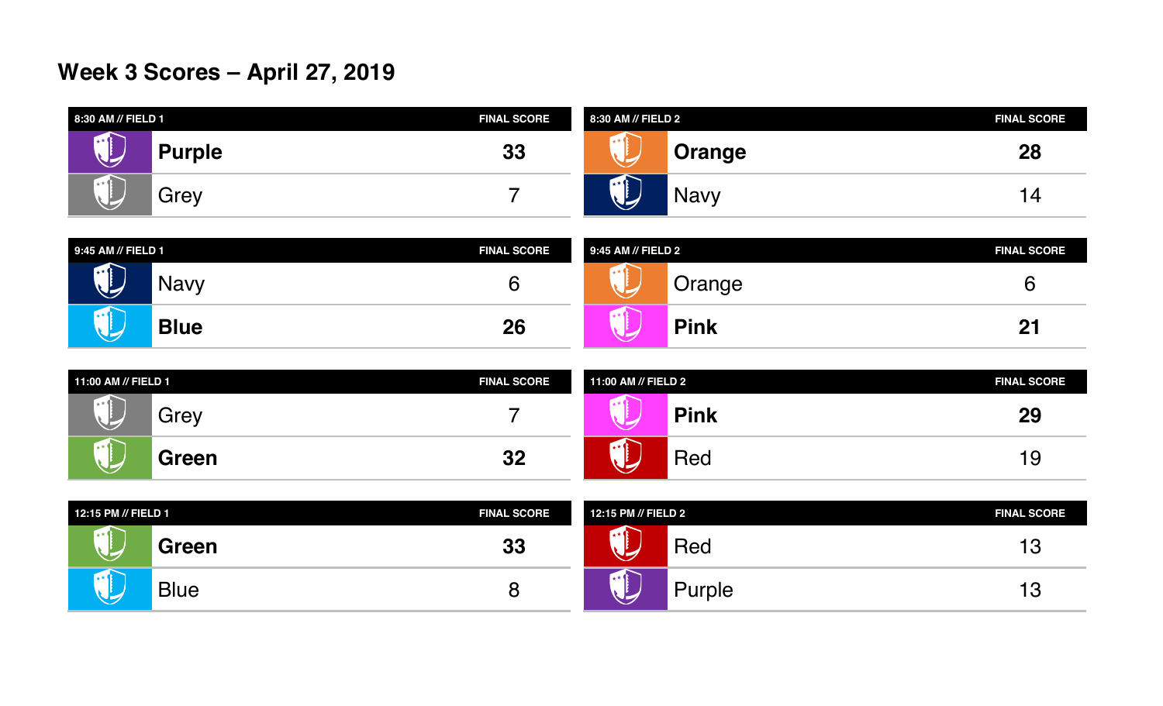# **Week 3 Scores – April 27, 2019**

| 8:30 AM // FIELD 1                      |               | <b>FINAL SCORE</b> | 8:30 AM // FIELD 2                                            | <b>FINAL SCORE</b> |
|-----------------------------------------|---------------|--------------------|---------------------------------------------------------------|--------------------|
| $\star$ $\star$ $\bullet$<br>▽          | <b>Purple</b> | 33                 | $\star \star$<br><b>Orange</b>                                | 28                 |
| $\star\star$ ()<br>$\blacktriangledown$ | Grey          |                    | $\star \star \bullet$<br><b>Navy</b><br>$\blacktriangleright$ | <u>  4</u>         |

| 9:45 AM // FIELD 1         |             | <b>FINAL SCORE</b> | 9:45 AM // FIELD 2 |               | <b>FINAL SCORE</b> |
|----------------------------|-------------|--------------------|--------------------|---------------|--------------------|
| マ                          | <b>Navy</b> | ∼                  | $*$ *              | <b>Jrange</b> |                    |
| $\star \star \Omega$<br>92 | <b>Blue</b> | 26                 |                    | <b>Pink</b>   | n.<br><u>_</u>     |

| 11:00 AM // FIELD 1 |       | <b>FINAL SCORE</b> | 11:00 AM // FIELD 2 |             | <b>FINAL SCORE</b> |
|---------------------|-------|--------------------|---------------------|-------------|--------------------|
| ≀ ★ ≠<br>J          | Grey  |                    |                     | <b>Pink</b> | <b>29</b>          |
| $+ \star$           | Green | 32                 | $x = 1$<br>ے        | <b>Red</b>  | l 9                |

| 12:15 PM // FIELD 1                     |             | <b>FINAL SCORE</b> | 12:15 PM // FIELD 2                         | <b>FINAL SCORE</b>                   |
|-----------------------------------------|-------------|--------------------|---------------------------------------------|--------------------------------------|
| $x \star 1$<br>▽                        | Green       | 33                 | $x = 0$<br>Red<br>U                         | $\overline{4}$ $\overline{6}$<br>ט ו |
| $\star\star$ 0<br>$\blacktriangleright$ | <b>Blue</b> | O                  | $x \times 0$<br>Purple<br>∽<br>$\checkmark$ | 4 C<br>ט ו                           |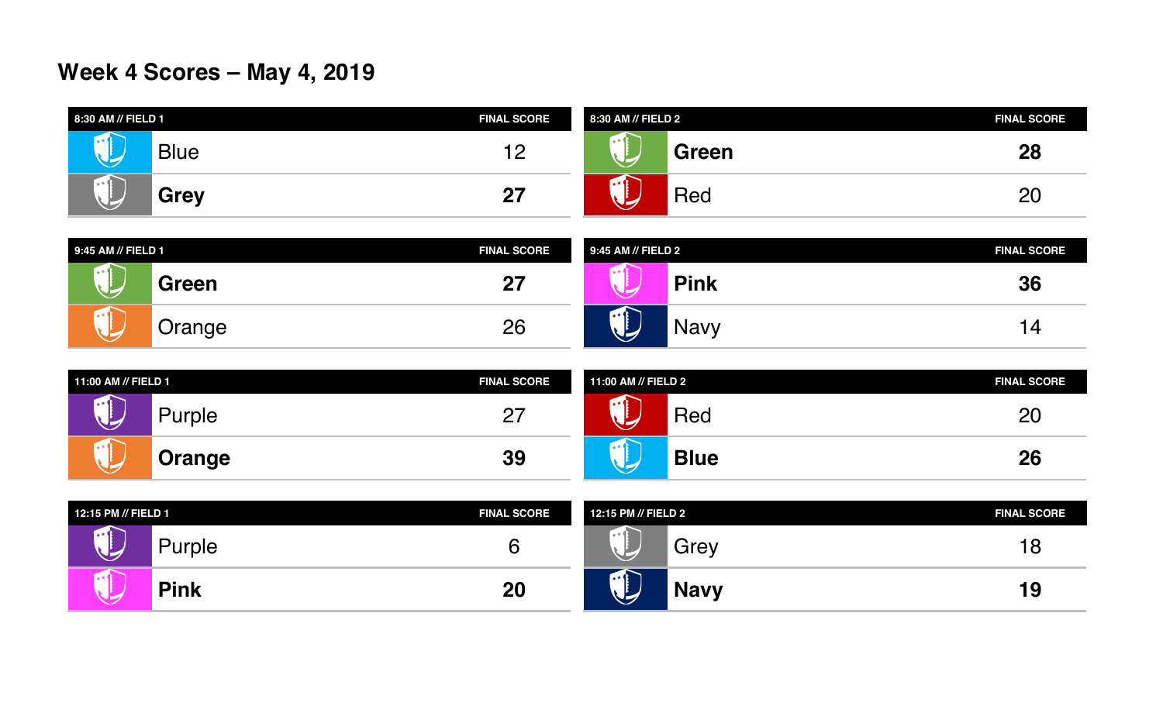## **Week 4 Scores – May 4, 2019**

| 8:30 AM // FIELD 1                      |             | <b>FINAL SCORE</b> | 8:30 AM // FIELD 2        | <b>FINAL SCORE</b> |
|-----------------------------------------|-------------|--------------------|---------------------------|--------------------|
| $\star\star$ 1<br>▰                     | <b>Blue</b> | 4 C<br>. <u>. </u> | $x \star 1$<br>Green<br>۳ | 28                 |
| $\star\star$ ()<br>$\blacktriangledown$ | Grey        | דה<br>$\mathbf{Z}$ | $\mathbf{A}$<br>Red<br>Œ  | 20                 |

| 9:45 AM // FIELD 1 |        | <b>FINAL SCORE</b> | 9:45 AM // FIELD 2                         |             | <b>FINAL SCORE</b> |
|--------------------|--------|--------------------|--------------------------------------------|-------------|--------------------|
| $x \star 0$<br>❤   | Green  | רמ<br>ZI           |                                            | Pink        | 36                 |
| $x \star \Omega$   | Orange | 26                 | $x \in \mathbb{R}$<br>$\blacktriangledown$ | <b>Navy</b> |                    |

| 11:00 AM // FIELD 1                      |               | <b>FINAL SCORE</b> | 11:00 AM // FIELD 2 |             | <b>FINAL SCORE</b> |
|------------------------------------------|---------------|--------------------|---------------------|-------------|--------------------|
| $x \star \left  \cdot \right $<br>B<br>❤ | Purple        | റ7<br>$\angle$     | $x = 1$<br>▽        | Red         | 20                 |
| $\star$ + $\bullet$                      | <b>Orange</b> | 39                 | $*$                 | <b>Blue</b> | 26                 |

| 12:15 PM // FIELD 1   |             | <b>FINAL SCORE</b> | 12:15 PM // FIELD 2                      | <b>FINAL SCORE</b> |
|-----------------------|-------------|--------------------|------------------------------------------|--------------------|
| $x \star \Omega$<br>マ | Purple      | b                  | $\star \star$<br>Grey<br>◡               | 18                 |
| $\rightarrow \bullet$ | <b>Pink</b> | 20                 | $x \star \mathbf{P}$<br><b>Navy</b><br>マ | <b>19</b>          |